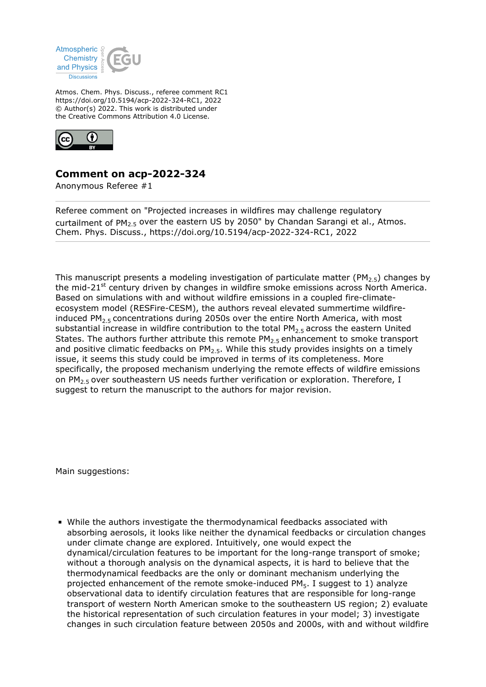

Atmos. Chem. Phys. Discuss., referee comment RC1 https://doi.org/10.5194/acp-2022-324-RC1, 2022 © Author(s) 2022. This work is distributed under the Creative Commons Attribution 4.0 License.



## **Comment on acp-2022-324**

Anonymous Referee #1

Referee comment on "Projected increases in wildfires may challenge regulatory curtailment of PM2.5 over the eastern US by 2050" by Chandan Sarangi et al., Atmos. Chem. Phys. Discuss., https://doi.org/10.5194/acp-2022-324-RC1, 2022

This manuscript presents a modeling investigation of particulate matter (PM<sub>2.5</sub>) changes by the mid-21 $<sup>st</sup>$  century driven by changes in wildfire smoke emissions across North America.</sup> Based on simulations with and without wildfire emissions in a coupled fire-climateecosystem model (RESFire-CESM), the authors reveal elevated summertime wildfireinduced PM<sub>2.5</sub> concentrations during 2050s over the entire North America, with most substantial increase in wildfire contribution to the total  $PM<sub>2.5</sub>$  across the eastern United States. The authors further attribute this remote  $PM<sub>2.5</sub>$  enhancement to smoke transport and positive climatic feedbacks on  $PM<sub>2.5</sub>$ . While this study provides insights on a timely issue, it seems this study could be improved in terms of its completeness. More specifically, the proposed mechanism underlying the remote effects of wildfire emissions on PM<sub>2.5</sub> over southeastern US needs further verification or exploration. Therefore, I suggest to return the manuscript to the authors for major revision.

Main suggestions:

While the authors investigate the thermodynamical feedbacks associated with absorbing aerosols, it looks like neither the dynamical feedbacks or circulation changes under climate change are explored. Intuitively, one would expect the dynamical/circulation features to be important for the long-range transport of smoke; without a thorough analysis on the dynamical aspects, it is hard to believe that the thermodynamical feedbacks are the only or dominant mechanism underlying the projected enhancement of the remote smoke-induced  $PM_5$ . I suggest to 1) analyze observational data to identify circulation features that are responsible for long-range transport of western North American smoke to the southeastern US region; 2) evaluate the historical representation of such circulation features in your model; 3) investigate changes in such circulation feature between 2050s and 2000s, with and without wildfire